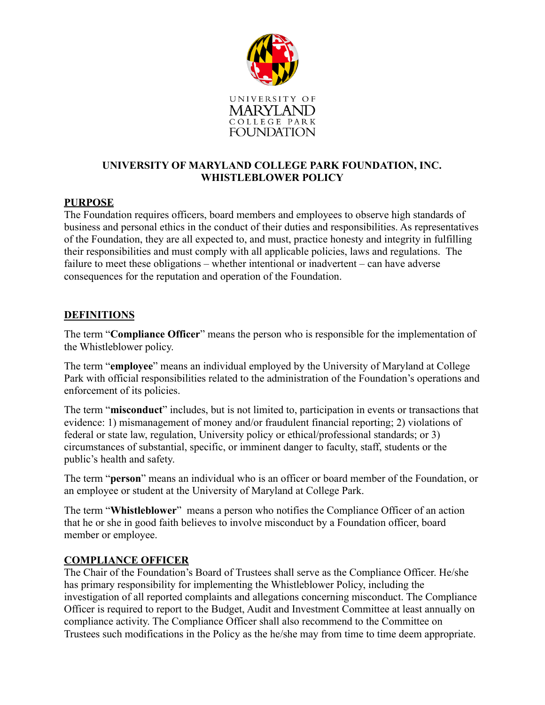

### **UNIVERSITY OF MARYLAND COLLEGE PARK FOUNDATION, INC. WHISTLEBLOWER POLICY**

### **PURPOSE**

The Foundation requires officers, board members and employees to observe high standards of business and personal ethics in the conduct of their duties and responsibilities. As representatives of the Foundation, they are all expected to, and must, practice honesty and integrity in fulfilling their responsibilities and must comply with all applicable policies, laws and regulations. The failure to meet these obligations – whether intentional or inadvertent – can have adverse consequences for the reputation and operation of the Foundation.

### **DEFINITIONS**

The term "**Compliance Officer**" means the person who is responsible for the implementation of the Whistleblower policy.

The term "**employee**" means an individual employed by the University of Maryland at College Park with official responsibilities related to the administration of the Foundation's operations and enforcement of its policies.

The term "**misconduct**" includes, but is not limited to, participation in events or transactions that evidence: 1) mismanagement of money and/or fraudulent financial reporting; 2) violations of federal or state law, regulation, University policy or ethical/professional standards; or 3) circumstances of substantial, specific, or imminent danger to faculty, staff, students or the public's health and safety.

The term "**person**" means an individual who is an officer or board member of the Foundation, or an employee or student at the University of Maryland at College Park.

The term "**Whistleblower**" means a person who notifies the Compliance Officer of an action that he or she in good faith believes to involve misconduct by a Foundation officer, board member or employee.

### **COMPLIANCE OFFICER**

The Chair of the Foundation's Board of Trustees shall serve as the Compliance Officer. He/she has primary responsibility for implementing the Whistleblower Policy, including the investigation of all reported complaints and allegations concerning misconduct. The Compliance Officer is required to report to the Budget, Audit and Investment Committee at least annually on compliance activity. The Compliance Officer shall also recommend to the Committee on Trustees such modifications in the Policy as the he/she may from time to time deem appropriate.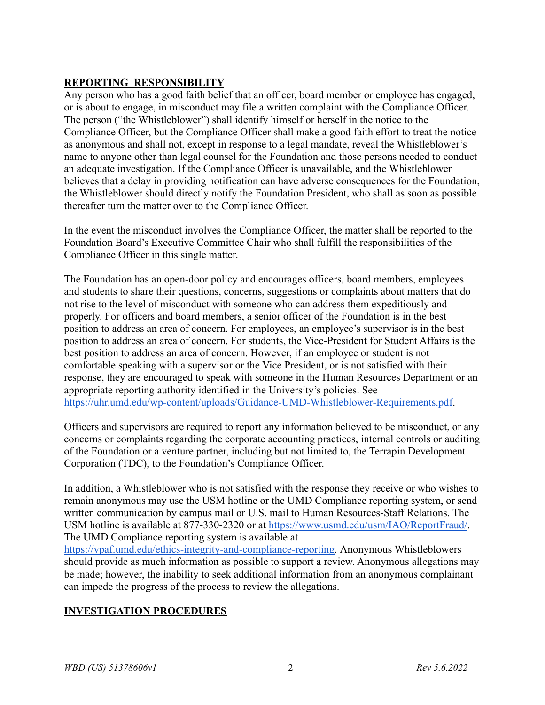## **REPORTING RESPONSIBILITY**

Any person who has a good faith belief that an officer, board member or employee has engaged, or is about to engage, in misconduct may file a written complaint with the Compliance Officer. The person ("the Whistleblower") shall identify himself or herself in the notice to the Compliance Officer, but the Compliance Officer shall make a good faith effort to treat the notice as anonymous and shall not, except in response to a legal mandate, reveal the Whistleblower's name to anyone other than legal counsel for the Foundation and those persons needed to conduct an adequate investigation. If the Compliance Officer is unavailable, and the Whistleblower believes that a delay in providing notification can have adverse consequences for the Foundation, the Whistleblower should directly notify the Foundation President, who shall as soon as possible thereafter turn the matter over to the Compliance Officer.

In the event the misconduct involves the Compliance Officer, the matter shall be reported to the Foundation Board's Executive Committee Chair who shall fulfill the responsibilities of the Compliance Officer in this single matter.

The Foundation has an open-door policy and encourages officers, board members, employees and students to share their questions, concerns, suggestions or complaints about matters that do not rise to the level of misconduct with someone who can address them expeditiously and properly. For officers and board members, a senior officer of the Foundation is in the best position to address an area of concern. For employees, an employee's supervisor is in the best position to address an area of concern. For students, the Vice-President for Student Affairs is the best position to address an area of concern. However, if an employee or student is not comfortable speaking with a supervisor or the Vice President, or is not satisfied with their response, they are encouraged to speak with someone in the Human Resources Department or an appropriate reporting authority identified in the University's policies. See [https://uhr.umd.edu/wp-content/uploads/Guidance-UMD-Whistleblower-Requirements.pdf.](https://uhr.umd.edu/wp-content/uploads/Guidance-UMD-Whistleblower-Requirements.pdf)

Officers and supervisors are required to report any information believed to be misconduct, or any concerns or complaints regarding the corporate accounting practices, internal controls or auditing of the Foundation or a venture partner, including but not limited to, the Terrapin Development Corporation (TDC), to the Foundation's Compliance Officer.

In addition, a Whistleblower who is not satisfied with the response they receive or who wishes to remain anonymous may use the USM hotline or the UMD Compliance reporting system, or send written communication by campus mail or U.S. mail to Human Resources-Staff Relations. The USM hotline is available at 877-330-2320 or at <https://www.usmd.edu/usm/IAO/ReportFraud/>. The UMD Compliance reporting system is available at

[https://vpaf.umd.edu/ethics-integrity-and-compliance-reporting.](https://vpaf.umd.edu/ethics-integrity-and-compliance-reporting) Anonymous Whistleblowers should provide as much information as possible to support a review. Anonymous allegations may be made; however, the inability to seek additional information from an anonymous complainant can impede the progress of the process to review the allegations.

# **INVESTIGATION PROCEDURES**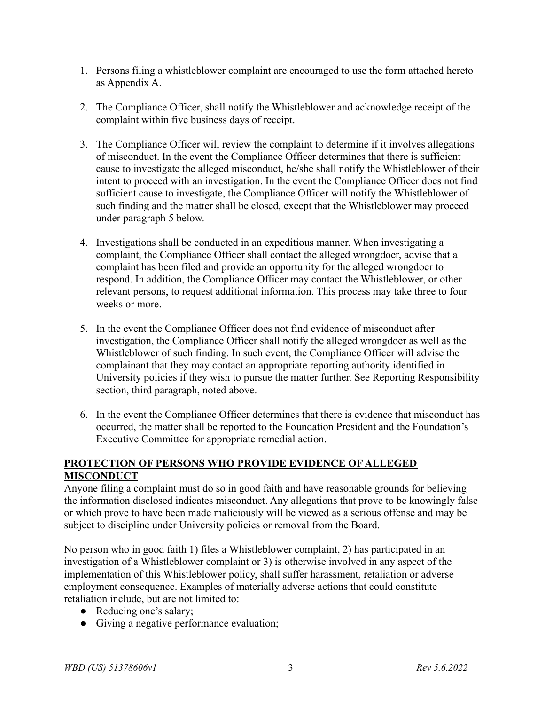- 1. Persons filing a whistleblower complaint are encouraged to use the form attached hereto as Appendix A.
- 2. The Compliance Officer, shall notify the Whistleblower and acknowledge receipt of the complaint within five business days of receipt.
- 3. The Compliance Officer will review the complaint to determine if it involves allegations of misconduct. In the event the Compliance Officer determines that there is sufficient cause to investigate the alleged misconduct, he/she shall notify the Whistleblower of their intent to proceed with an investigation. In the event the Compliance Officer does not find sufficient cause to investigate, the Compliance Officer will notify the Whistleblower of such finding and the matter shall be closed, except that the Whistleblower may proceed under paragraph 5 below.
- 4. Investigations shall be conducted in an expeditious manner. When investigating a complaint, the Compliance Officer shall contact the alleged wrongdoer, advise that a complaint has been filed and provide an opportunity for the alleged wrongdoer to respond. In addition, the Compliance Officer may contact the Whistleblower, or other relevant persons, to request additional information. This process may take three to four weeks or more.
- 5. In the event the Compliance Officer does not find evidence of misconduct after investigation, the Compliance Officer shall notify the alleged wrongdoer as well as the Whistleblower of such finding. In such event, the Compliance Officer will advise the complainant that they may contact an appropriate reporting authority identified in University policies if they wish to pursue the matter further. See Reporting Responsibility section, third paragraph, noted above.
- 6. In the event the Compliance Officer determines that there is evidence that misconduct has occurred, the matter shall be reported to the Foundation President and the Foundation's Executive Committee for appropriate remedial action.

### **PROTECTION OF PERSONS WHO PROVIDE EVIDENCE OF ALLEGED MISCONDUCT**

Anyone filing a complaint must do so in good faith and have reasonable grounds for believing the information disclosed indicates misconduct. Any allegations that prove to be knowingly false or which prove to have been made maliciously will be viewed as a serious offense and may be subject to discipline under University policies or removal from the Board.

No person who in good faith 1) files a Whistleblower complaint, 2) has participated in an investigation of a Whistleblower complaint or 3) is otherwise involved in any aspect of the implementation of this Whistleblower policy, shall suffer harassment, retaliation or adverse employment consequence. Examples of materially adverse actions that could constitute retaliation include, but are not limited to:

- Reducing one's salary;
- Giving a negative performance evaluation;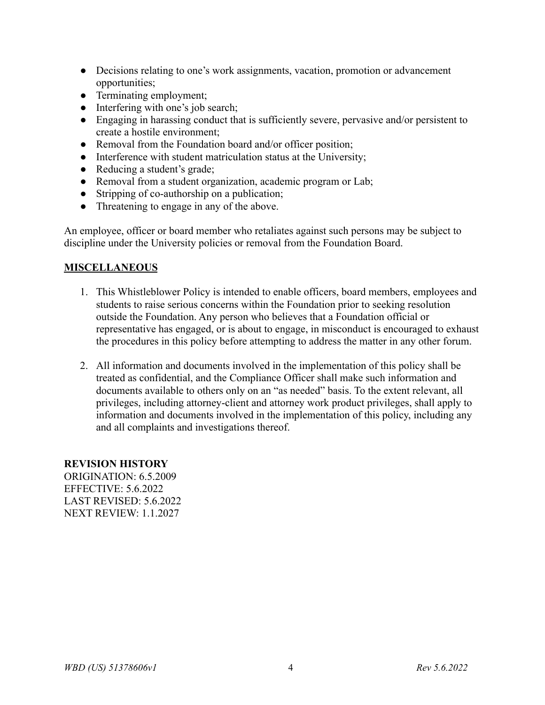- Decisions relating to one's work assignments, vacation, promotion or advancement opportunities;
- Terminating employment;
- Interfering with one's job search;
- Engaging in harassing conduct that is sufficiently severe, pervasive and/or persistent to create a hostile environment;
- Removal from the Foundation board and/or officer position;
- Interference with student matriculation status at the University;
- Reducing a student's grade;
- Removal from a student organization, academic program or Lab;
- Stripping of co-authorship on a publication;
- Threatening to engage in any of the above.

An employee, officer or board member who retaliates against such persons may be subject to discipline under the University policies or removal from the Foundation Board.

### **MISCELLANEOUS**

- 1. This Whistleblower Policy is intended to enable officers, board members, employees and students to raise serious concerns within the Foundation prior to seeking resolution outside the Foundation. Any person who believes that a Foundation official or representative has engaged, or is about to engage, in misconduct is encouraged to exhaust the procedures in this policy before attempting to address the matter in any other forum.
- 2. All information and documents involved in the implementation of this policy shall be treated as confidential, and the Compliance Officer shall make such information and documents available to others only on an "as needed" basis. To the extent relevant, all privileges, including attorney-client and attorney work product privileges, shall apply to information and documents involved in the implementation of this policy, including any and all complaints and investigations thereof.

#### **REVISION HISTORY**

ORIGINATION:  $6.5,2009$ EFFECTIVE: 5.6.2022 LAST REVISED: 5.6.2022 NEXT REVIEW: 1.1.2027